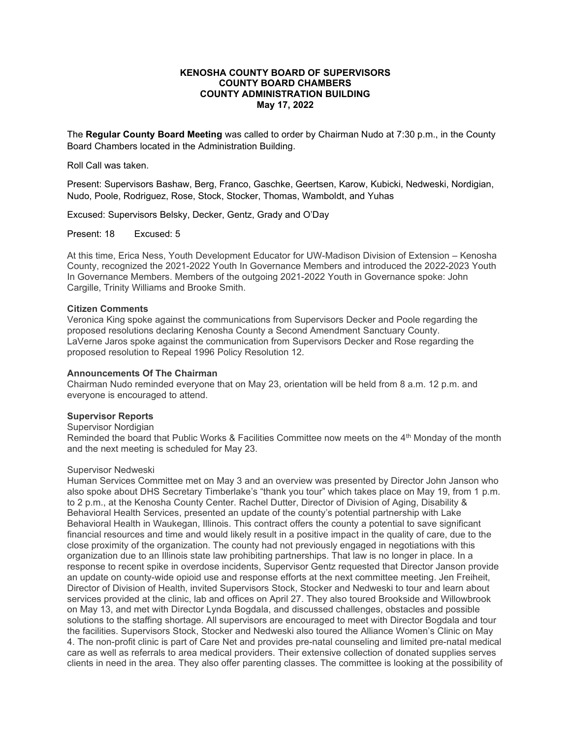# **KENOSHA COUNTY BOARD OF SUPERVISORS COUNTY BOARD CHAMBERS COUNTY ADMINISTRATION BUILDING May 17, 2022**

The **Regular County Board Meeting** was called to order by Chairman Nudo at 7:30 p.m., in the County Board Chambers located in the Administration Building.

Roll Call was taken.

Present: Supervisors Bashaw, Berg, Franco, Gaschke, Geertsen, Karow, Kubicki, Nedweski, Nordigian, Nudo, Poole, Rodriguez, Rose, Stock, Stocker, Thomas, Wamboldt, and Yuhas

Excused: Supervisors Belsky, Decker, Gentz, Grady and O'Day

Present: 18 Excused: 5

At this time, Erica Ness, Youth Development Educator for UW-Madison Division of Extension – Kenosha County, recognized the 2021-2022 Youth In Governance Members and introduced the 2022-2023 Youth In Governance Members. Members of the outgoing 2021-2022 Youth in Governance spoke: John Cargille, Trinity Williams and Brooke Smith.

## **Citizen Comments**

Veronica King spoke against the communications from Supervisors Decker and Poole regarding the proposed resolutions declaring Kenosha County a Second Amendment Sanctuary County. LaVerne Jaros spoke against the communication from Supervisors Decker and Rose regarding the proposed resolution to Repeal 1996 Policy Resolution 12.

#### **Announcements Of The Chairman**

Chairman Nudo reminded everyone that on May 23, orientation will be held from 8 a.m. 12 p.m. and everyone is encouraged to attend.

# **Supervisor Reports**

### Supervisor Nordigian

Reminded the board that Public Works & Facilities Committee now meets on the 4th Monday of the month and the next meeting is scheduled for May 23.

#### Supervisor Nedweski

Human Services Committee met on May 3 and an overview was presented by Director John Janson who also spoke about DHS Secretary Timberlake's "thank you tour" which takes place on May 19, from 1 p.m. to 2 p.m., at the Kenosha County Center. Rachel Dutter, Director of Division of Aging, Disability & Behavioral Health Services, presented an update of the county's potential partnership with Lake Behavioral Health in Waukegan, Illinois. This contract offers the county a potential to save significant financial resources and time and would likely result in a positive impact in the quality of care, due to the close proximity of the organization. The county had not previously engaged in negotiations with this organization due to an Illinois state law prohibiting partnerships. That law is no longer in place. In a response to recent spike in overdose incidents, Supervisor Gentz requested that Director Janson provide an update on county-wide opioid use and response efforts at the next committee meeting. Jen Freiheit, Director of Division of Health, invited Supervisors Stock, Stocker and Nedweski to tour and learn about services provided at the clinic, lab and offices on April 27. They also toured Brookside and Willowbrook on May 13, and met with Director Lynda Bogdala, and discussed challenges, obstacles and possible solutions to the staffing shortage. All supervisors are encouraged to meet with Director Bogdala and tour the facilities. Supervisors Stock, Stocker and Nedweski also toured the Alliance Women's Clinic on May 4. The non-profit clinic is part of Care Net and provides pre-natal counseling and limited pre-natal medical care as well as referrals to area medical providers. Their extensive collection of donated supplies serves clients in need in the area. They also offer parenting classes. The committee is looking at the possibility of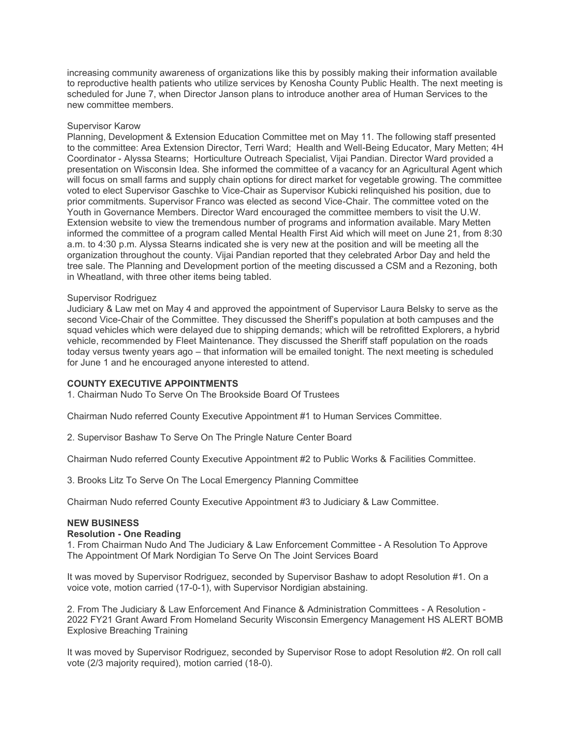increasing community awareness of organizations like this by possibly making their information available to reproductive health patients who utilize services by Kenosha County Public Health. The next meeting is scheduled for June 7, when Director Janson plans to introduce another area of Human Services to the new committee members.

# Supervisor Karow

Planning, Development & Extension Education Committee met on May 11. The following staff presented to the committee: Area Extension Director, Terri Ward; Health and Well-Being Educator, Mary Metten; 4H Coordinator - Alyssa Stearns; Horticulture Outreach Specialist, Vijai Pandian. Director Ward provided a presentation on Wisconsin Idea. She informed the committee of a vacancy for an Agricultural Agent which will focus on small farms and supply chain options for direct market for vegetable growing. The committee voted to elect Supervisor Gaschke to Vice-Chair as Supervisor Kubicki relinquished his position, due to prior commitments. Supervisor Franco was elected as second Vice-Chair. The committee voted on the Youth in Governance Members. Director Ward encouraged the committee members to visit the U.W. Extension website to view the tremendous number of programs and information available. Mary Metten informed the committee of a program called Mental Health First Aid which will meet on June 21, from 8:30 a.m. to 4:30 p.m. Alyssa Stearns indicated she is very new at the position and will be meeting all the organization throughout the county. Vijai Pandian reported that they celebrated Arbor Day and held the tree sale. The Planning and Development portion of the meeting discussed a CSM and a Rezoning, both in Wheatland, with three other items being tabled.

### Supervisor Rodriguez

Judiciary & Law met on May 4 and approved the appointment of Supervisor Laura Belsky to serve as the second Vice-Chair of the Committee. They discussed the Sheriff's population at both campuses and the squad vehicles which were delayed due to shipping demands; which will be retrofitted Explorers, a hybrid vehicle, recommended by Fleet Maintenance. They discussed the Sheriff staff population on the roads today versus twenty years ago – that information will be emailed tonight. The next meeting is scheduled for June 1 and he encouraged anyone interested to attend.

# **COUNTY EXECUTIVE APPOINTMENTS**

1. Chairman Nudo To Serve On The Brookside Board Of Trustees

Chairman Nudo referred County Executive Appointment #1 to Human Services Committee.

2. Supervisor Bashaw To Serve On The Pringle Nature Center Board

Chairman Nudo referred County Executive Appointment #2 to Public Works & Facilities Committee.

3. Brooks Litz To Serve On The Local Emergency Planning Committee

Chairman Nudo referred County Executive Appointment #3 to Judiciary & Law Committee.

# **NEW BUSINESS**

#### **Resolution - One Reading**

1. From Chairman Nudo And The Judiciary & Law Enforcement Committee - A Resolution To Approve The Appointment Of Mark Nordigian To Serve On The Joint Services Board

It was moved by Supervisor Rodriguez, seconded by Supervisor Bashaw to adopt Resolution #1. On a voice vote, motion carried (17-0-1), with Supervisor Nordigian abstaining.

2. From The Judiciary & Law Enforcement And Finance & Administration Committees - A Resolution - 2022 FY21 Grant Award From Homeland Security Wisconsin Emergency Management HS ALERT BOMB Explosive Breaching Training

It was moved by Supervisor Rodriguez, seconded by Supervisor Rose to adopt Resolution #2. On roll call vote (2/3 majority required), motion carried (18-0).